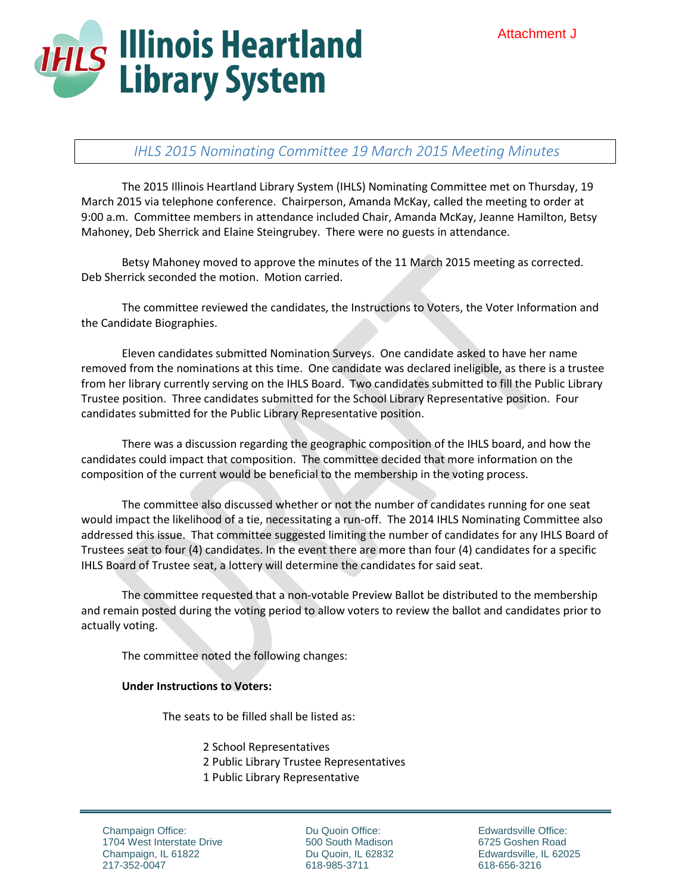

# *IHLS 2015 Nominating Committee 19 March 2015 Meeting Minutes*

The 2015 Illinois Heartland Library System (IHLS) Nominating Committee met on Thursday, 19 March 2015 via telephone conference. Chairperson, Amanda McKay, called the meeting to order at 9:00 a.m. Committee members in attendance included Chair, Amanda McKay, Jeanne Hamilton, Betsy Mahoney, Deb Sherrick and Elaine Steingrubey. There were no guests in attendance.

Betsy Mahoney moved to approve the minutes of the 11 March 2015 meeting as corrected. Deb Sherrick seconded the motion. Motion carried.

The committee reviewed the candidates, the Instructions to Voters, the Voter Information and the Candidate Biographies.

Eleven candidates submitted Nomination Surveys. One candidate asked to have her name removed from the nominations at this time. One candidate was declared ineligible, as there is a trustee from her library currently serving on the IHLS Board. Two candidates submitted to fill the Public Library Trustee position. Three candidates submitted for the School Library Representative position. Four candidates submitted for the Public Library Representative position.

There was a discussion regarding the geographic composition of the IHLS board, and how the candidates could impact that composition. The committee decided that more information on the composition of the current would be beneficial to the membership in the voting process.

The committee also discussed whether or not the number of candidates running for one seat would impact the likelihood of a tie, necessitating a run-off. The 2014 IHLS Nominating Committee also addressed this issue. That committee suggested limiting the number of candidates for any IHLS Board of Trustees seat to four (4) candidates. In the event there are more than four (4) candidates for a specific IHLS Board of Trustee seat, a lottery will determine the candidates for said seat.

The committee requested that a non-votable Preview Ballot be distributed to the membership and remain posted during the voting period to allow voters to review the ballot and candidates prior to actually voting.

The committee noted the following changes:

#### **Under Instructions to Voters:**

The seats to be filled shall be listed as:

- 2 School Representatives
- 2 Public Library Trustee Representatives
- 1 Public Library Representative

Champaign Office: 1704 West Interstate Drive Champaign, IL 61822 217-352-0047

Du Quoin Office: 500 South Madison Du Quoin, IL 62832 618-985-3711

Edwardsville Office: 6725 Goshen Road Edwardsville, IL 62025 618-656-3216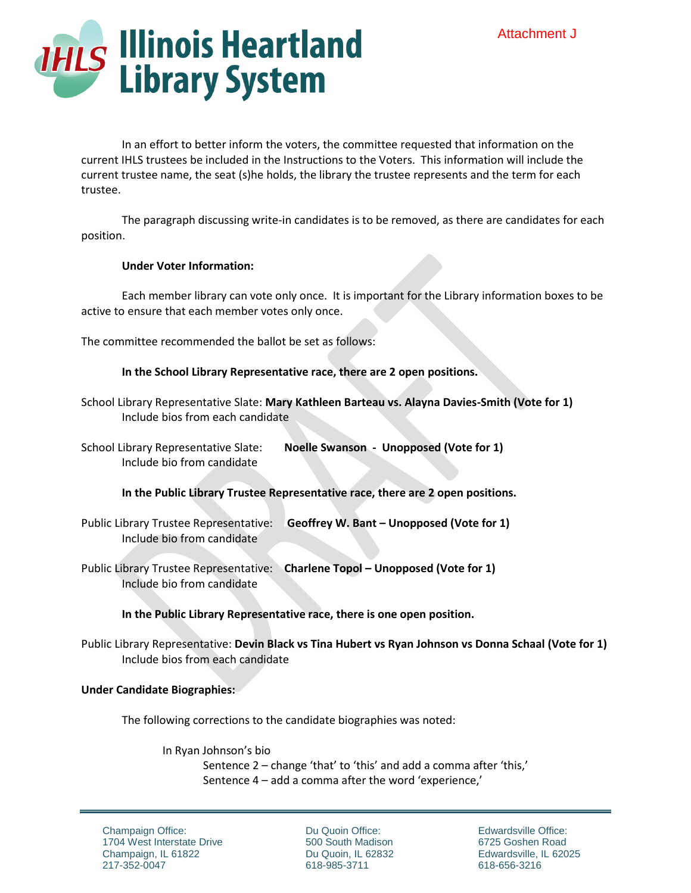

In an effort to better inform the voters, the committee requested that information on the current IHLS trustees be included in the Instructions to the Voters. This information will include the current trustee name, the seat (s)he holds, the library the trustee represents and the term for each trustee.

The paragraph discussing write-in candidates is to be removed, as there are candidates for each position.

## **Under Voter Information:**

Each member library can vote only once. It is important for the Library information boxes to be active to ensure that each member votes only once.

The committee recommended the ballot be set as follows:

## **In the School Library Representative race, there are 2 open positions.**

| School Library Representative Slate: Mary Kathleen Barteau vs. Alayna Davies-Smith (Vote for 1) |  |  |
|-------------------------------------------------------------------------------------------------|--|--|
| Include bios from each candidate                                                                |  |  |

School Library Representative Slate: **Noelle Swanson - Unopposed (Vote for 1)** Include bio from candidate

**In the Public Library Trustee Representative race, there are 2 open positions.**

- Public Library Trustee Representative: **Geoffrey W. Bant – Unopposed (Vote for 1)** Include bio from candidate
- Public Library Trustee Representative: **Charlene Topol – Unopposed (Vote for 1)** Include bio from candidate

# **In the Public Library Representative race, there is one open position.**

Public Library Representative: **Devin Black vs Tina Hubert vs Ryan Johnson vs Donna Schaal (Vote for 1)** Include bios from each candidate

#### **Under Candidate Biographies:**

The following corrections to the candidate biographies was noted:

In Ryan Johnson's bio

Sentence 2 – change 'that' to 'this' and add a comma after 'this,' Sentence 4 – add a comma after the word 'experience,'

Champaign Office: 1704 West Interstate Drive Champaign, IL 61822 217-352-0047

Du Quoin Office: 500 South Madison Du Quoin, IL 62832 618-985-3711

Edwardsville Office: 6725 Goshen Road Edwardsville, IL 62025 618-656-3216